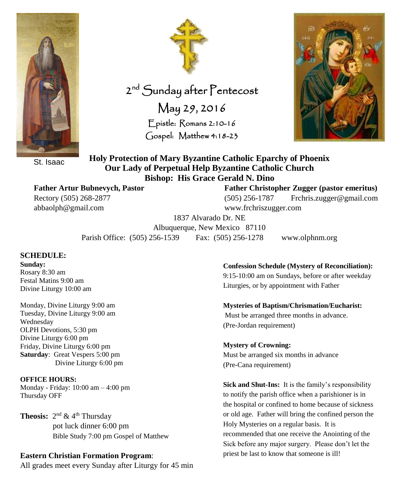

St. Isaac

**Father Artur Bubnevych, Pastor Father Christopher Zugger (pastor emeritus)** abbaolph@gmail.com www.frchriszugger.com

2<sup>nd</sup> Sunday after Pentecost May 29, 2016 Epistle: Romans 2:10-16 Gospel: Matthew 4:18-23



**Holy Protection of Mary Byzantine Catholic Eparchy of Phoenix Our Lady of Perpetual Help Byzantine Catholic Church Bishop: His Grace Gerald N. Dino**

Rectory (505) 268-2877 (505) 256-1787 Frchris.zugger@gmail.com

1837 Alvarado Dr. NE Albuquerque, New Mexico 87110

Parish Office: (505) 256-1539 Fax: (505) 256-1278 www.olphnm.org

#### **SCHEDULE:**

**Sunday:** Rosary 8:30 am Festal Matins 9:00 am Divine Liturgy 10:00 am

Monday, Divine Liturgy 9:00 am Tuesday, Divine Liturgy 9:00 am Wednesday OLPH Devotions, 5:30 pm Divine Liturgy 6:00 pm Friday, Divine Liturgy 6:00 pm **Saturday**: Great Vespers 5:00 pm Divine Liturgy 6:00 pm

**OFFICE HOURS:** Monday - Friday: 10:00 am – 4:00 pm Thursday OFF

**Theosis:**  $2^{nd}$  & 4<sup>th</sup> Thursday pot luck dinner 6:00 pm Bible Study 7:00 pm Gospel of Matthew

#### **Eastern Christian Formation Program**:

All grades meet every Sunday after Liturgy for 45 min

**Confession Schedule (Mystery of Reconciliation):**

9:15-10:00 am on Sundays, before or after weekday Liturgies, or by appointment with Father

**Mysteries of Baptism/Chrismation/Eucharist:** Must be arranged three months in advance. (Pre-Jordan requirement)

**Mystery of Crowning:** Must be arranged six months in advance (Pre-Cana requirement)

**Sick and Shut-Ins:** It is the family's responsibility to notify the parish office when a parishioner is in the hospital or confined to home because of sickness or old age. Father will bring the confined person the Holy Mysteries on a regular basis. It is recommended that one receive the Anointing of the Sick before any major surgery. Please don't let the priest be last to know that someone is ill!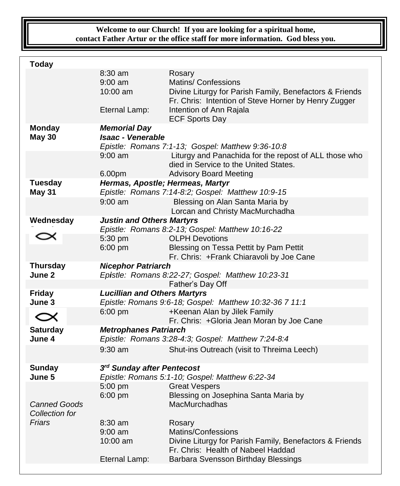## **Welcome to our Church! If you are looking for a spiritual home, contact Father Artur or the office staff for more information. God bless you.**

| <b>Today</b>                          |                                                                                                      |                                                                                                                                                                             |  |
|---------------------------------------|------------------------------------------------------------------------------------------------------|-----------------------------------------------------------------------------------------------------------------------------------------------------------------------------|--|
|                                       | $8:30$ am<br>$9:00 \text{ am}$<br>$10:00$ am<br>Eternal Lamp:                                        | Rosary<br>Matins/ Confessions<br>Divine Liturgy for Parish Family, Benefactors & Friends<br>Fr. Chris: Intention of Steve Horner by Henry Zugger<br>Intention of Ann Rajala |  |
|                                       |                                                                                                      | <b>ECF Sports Day</b>                                                                                                                                                       |  |
| <b>Monday</b><br><b>May 30</b>        | <b>Memorial Day</b><br><b>Isaac - Venerable</b><br>Epistle: Romans 7:1-13; Gospel: Matthew 9:36-10:8 |                                                                                                                                                                             |  |
|                                       | $9:00$ am<br>6.00pm                                                                                  | Liturgy and Panachida for the repost of ALL those who<br>died in Service to the United States.                                                                              |  |
| <b>Tuesday</b>                        |                                                                                                      | <b>Advisory Board Meeting</b>                                                                                                                                               |  |
| <b>May 31</b>                         | Hermas, Apostle; Hermeas, Martyr<br>Epistle: Romans 7:14-8:2; Gospel: Matthew 10:9-15                |                                                                                                                                                                             |  |
|                                       | $9:00$ am                                                                                            | Blessing on Alan Santa Maria by<br>Lorcan and Christy MacMurchadha                                                                                                          |  |
| Wednesday                             | <b>Justin and Others Martyrs</b>                                                                     |                                                                                                                                                                             |  |
|                                       |                                                                                                      | Epistle: Romans 8:2-13; Gospel: Matthew 10:16-22                                                                                                                            |  |
|                                       | 5:30 pm<br>$6:00$ pm                                                                                 | <b>OLPH Devotions</b><br>Blessing on Tessa Pettit by Pam Pettit<br>Fr. Chris: +Frank Chiaravoli by Joe Cane                                                                 |  |
| <b>Thursday</b>                       | <b>Nicephor Patriarch</b>                                                                            |                                                                                                                                                                             |  |
|                                       |                                                                                                      |                                                                                                                                                                             |  |
| June 2                                |                                                                                                      | Epistle: Romans 8:22-27; Gospel: Matthew 10:23-31                                                                                                                           |  |
|                                       |                                                                                                      | Father's Day Off                                                                                                                                                            |  |
| <b>Friday</b>                         | <b>Lucillian and Others Martyrs</b>                                                                  |                                                                                                                                                                             |  |
| June 3                                |                                                                                                      | Epistle: Romans 9:6-18; Gospel: Matthew 10:32-36 7 11:1                                                                                                                     |  |
| $\propto$                             | 6:00 pm                                                                                              | +Keenan Alan by Jilek Family                                                                                                                                                |  |
| <b>Saturday</b><br>June 4             | <b>Metrophanes Patriarch</b>                                                                         | Fr. Chris: +Gloria Jean Moran by Joe Cane<br>Epistle: Romans 3:28-4:3; Gospel: Matthew 7:24-8:4                                                                             |  |
|                                       | $9:30$ am                                                                                            | Shut-ins Outreach (visit to Threima Leech)                                                                                                                                  |  |
| <b>Sunday</b>                         | 3rd Sunday after Pentecost                                                                           |                                                                                                                                                                             |  |
| June 5                                |                                                                                                      | Epistle: Romans 5:1-10; Gospel: Matthew 6:22-34                                                                                                                             |  |
|                                       | 5:00 pm                                                                                              | <b>Great Vespers</b>                                                                                                                                                        |  |
| <b>Canned Goods</b><br>Collection for | 6:00 pm                                                                                              | Blessing on Josephina Santa Maria by<br>MacMurchadhas                                                                                                                       |  |
| Friars                                | $8:30$ am<br>$9:00$ am<br>10:00 am<br>Eternal Lamp:                                                  | Rosary<br>Matins/Confessions<br>Divine Liturgy for Parish Family, Benefactors & Friends<br>Fr. Chris: Health of Nabeel Haddad<br>Barbara Svensson Birthday Blessings        |  |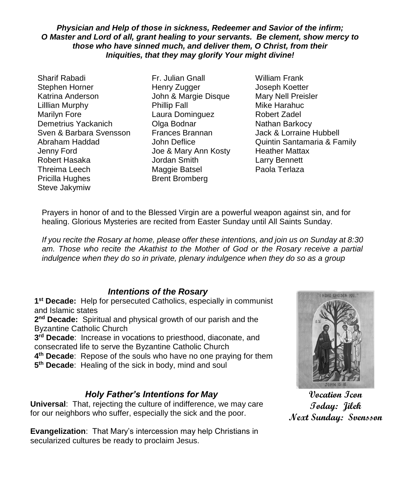*Physician and Help of those in sickness, Redeemer and Savior of the infirm; O Master and Lord of all, grant healing to your servants. Be clement, show mercy to those who have sinned much, and deliver them, O Christ, from their Iniquities, that they may glorify Your might divine!*

Sharif Rabadi Fr. Julian Gnall William Frank Stephen Horner Thenry Zugger Thenry Zugger and Joseph Koetter Katrina Anderson John & Margie Disque Mary Nell Preisler Lilllian Murphy **Phillip Fall** Mike Harahuc Marilyn Fore Laura Dominguez Robert Zadel Demetrius Yackanich **Olga Bodnar** Nathan Barkocy Sven & Barbara Svensson Frances Brannan Jack & Lorraine Hubbell Jenny Ford Joe & Mary Ann Kosty Heather Mattax Robert Hasaka Jordan Smith Larry Bennett Threima Leech Maggie Batsel Paola Terlaza Pricilla Hughes Brent Bromberg Steve Jakymiw

Abraham Haddad John Deflice Quintin Santamaria & Family

Prayers in honor of and to the Blessed Virgin are a powerful weapon against sin, and for healing. Glorious Mysteries are recited from Easter Sunday until All Saints Sunday.

*If you recite the Rosary at home, please offer these intentions, and join us on Sunday at 8:30*  am. Those who recite the Akathist to the Mother of God or the Rosary receive a partial *indulgence when they do so in private, plenary indulgence when they do so as a group*

## *Intentions of the Rosary*

**1 st Decade:** Help for persecuted Catholics, especially in communist and Islamic states

**2 nd Decade:** Spiritual and physical growth of our parish and the Byzantine Catholic Church

**3 rd Decade**: Increase in vocations to priesthood, diaconate, and consecrated life to serve the Byzantine Catholic Church

**4 th Decade**: Repose of the souls who have no one praying for them

**5 th Decade**: Healing of the sick in body, mind and soul

# *Holy Father's Intentions for May*

**Universal**: That, rejecting the culture of indifference, we may care for our neighbors who suffer, especially the sick and the poor.

**Evangelization**: That Mary's intercession may help Christians in secularized cultures be ready to proclaim Jesus.



**Vocation Icon Today: Jilek Next Sunday: Svensson**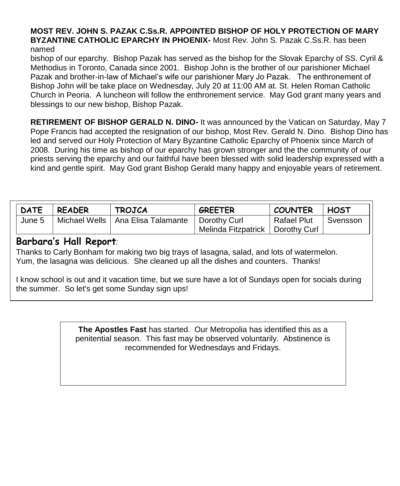#### **MOST REV. JOHN S. PAZAK C.Ss.R. APPOINTED BISHOP OF HOLY PROTECTION OF MARY BYZANTINE CATHOLIC EPARCHY IN PHOENIX-** Most Rev. John S. Pazak C.Ss.R. has been named

bishop of our eparchy. Bishop Pazak has served as the bishop for the Slovak Eparchy of SS. Cyril & Methodius in Toronto, Canada since 2001. Bishop John is the brother of our parishioner Michael Pazak and brother-in-law of Michael's wife our parishioner Mary Jo Pazak. The enthronement of Bishop John will be take place on Wednesday, July 20 at 11:00 AM at. St. Helen Roman Catholic Church in Peoria. A luncheon will follow the enthronement service. May God grant many years and blessings to our new bishop, Bishop Pazak.

**RETIREMENT OF BISHOP GERALD N. DINO-** It was announced by the Vatican on Saturday, May 7 Pope Francis had accepted the resignation of our bishop, Most Rev. Gerald N. Dino. Bishop Dino has led and served our Holy Protection of Mary Byzantine Catholic Eparchy of Phoenix since March of 2008. During his time as bishop of our eparchy has grown stronger and the the community of our priests serving the eparchy and our faithful have been blessed with solid leadership expressed with a kind and gentle spirit. May God grant Bishop Gerald many happy and enjoyable years of retirement.

| <b>DATE</b> | <b>READER</b> | <b>TROJCA</b>                       | <b>GREETER</b>        | <b>COUNTER</b> | <b>HOST</b> |
|-------------|---------------|-------------------------------------|-----------------------|----------------|-------------|
| June 5      |               | Michael Wells   Ana Elisa Talamante | Dorothy Curl          | Rafael Plut    | Svensson    |
|             |               |                                     | Melinda Fitzpatrick I | l Dorothv Curl |             |

## **Barbara's Hall Report***:*

Thanks to Carly Bonham for making two big trays of lasagna, salad, and lots of watermelon. Yum, the lasagna was delicious. She cleaned up all the dishes and counters. Thanks!

I know school is out and it vacation time, but we sure have a lot of Sundays open for socials during the summer. So let's get some Sunday sign ups!

> **The Apostles Fast** has started. Our Metropolia has identified this as a penitential season. This fast may be observed voluntarily. Abstinence is recommended for Wednesdays and Fridays.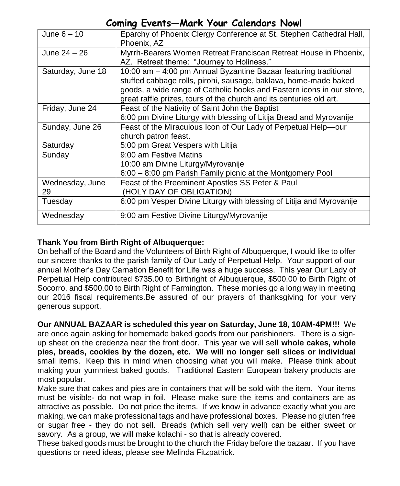# **Coming Events—Mark Your Calendars Now!**

| June $6 - 10$         | Eparchy of Phoenix Clergy Conference at St. Stephen Cathedral Hall,<br>Phoenix, AZ                                                                                                                                                                                                   |
|-----------------------|--------------------------------------------------------------------------------------------------------------------------------------------------------------------------------------------------------------------------------------------------------------------------------------|
| June $24 - 26$        | Myrrh-Bearers Women Retreat Franciscan Retreat House in Phoenix,<br>AZ. Retreat theme: "Journey to Holiness."                                                                                                                                                                        |
| Saturday, June 18     | 10:00 am - 4:00 pm Annual Byzantine Bazaar featuring traditional<br>stuffed cabbage rolls, pirohi, sausage, baklava, home-made baked<br>goods, a wide range of Catholic books and Eastern icons in our store,<br>great raffle prizes, tours of the church and its centuries old art. |
| Friday, June 24       | Feast of the Nativity of Saint John the Baptist<br>6:00 pm Divine Liturgy with blessing of Litija Bread and Myrovanije                                                                                                                                                               |
| Sunday, June 26       | Feast of the Miraculous Icon of Our Lady of Perpetual Help-our<br>church patron feast.                                                                                                                                                                                               |
| Saturday              | 5:00 pm Great Vespers with Litija                                                                                                                                                                                                                                                    |
| Sunday                | 9:00 am Festive Matins                                                                                                                                                                                                                                                               |
|                       | 10:00 am Divine Liturgy/Myrovanije                                                                                                                                                                                                                                                   |
|                       | 6:00 – 8:00 pm Parish Family picnic at the Montgomery Pool                                                                                                                                                                                                                           |
| Wednesday, June<br>29 | Feast of the Preeminent Apostles SS Peter & Paul<br>(HOLY DAY OF OBLIGATION)                                                                                                                                                                                                         |
| Tuesday               | 6:00 pm Vesper Divine Liturgy with blessing of Litija and Myrovanije                                                                                                                                                                                                                 |
| Wednesday             | 9:00 am Festive Divine Liturgy/Myrovanije                                                                                                                                                                                                                                            |

### **Thank You from Birth Right of Albuquerque:**

On behalf of the Board and the Volunteers of Birth Right of Albuquerque, I would like to offer our sincere thanks to the parish family of Our Lady of Perpetual Help. Your support of our annual Mother's Day Carnation Benefit for Life was a huge success. This year Our Lady of Perpetual Help contributed \$735.00 to Birthright of Albuquerque, \$500.00 to Birth Right of Socorro, and \$500.00 to Birth Right of Farmington. These monies go a long way in meeting our 2016 fiscal requirements.Be assured of our prayers of thanksgiving for your very generous support.

**Our ANNUAL BAZAAR is scheduled this year on Saturday, June 18, 10AM-4PM!!!** We are once again asking for homemade baked goods from our parishioners. There is a signup sheet on the credenza near the front door. This year we will se**ll whole cakes, whole pies, breads, cookies by the dozen, etc. We will no longer sell slices or individual** small items. Keep this in mind when choosing what you will make. Please think about making your yummiest baked goods. Traditional Eastern European bakery products are most popular.

Make sure that cakes and pies are in containers that will be sold with the item. Your items must be visible- do not wrap in foil. Please make sure the items and containers are as attractive as possible. Do not price the items. If we know in advance exactly what you are making, we can make professional tags and have professional boxes. Please no gluten free or sugar free - they do not sell. Breads (which sell very well) can be either sweet or savory. As a group, we will make kolachi - so that is already covered.

These baked goods must be brought to the church the Friday before the bazaar. If you have questions or need ideas, please see Melinda Fitzpatrick.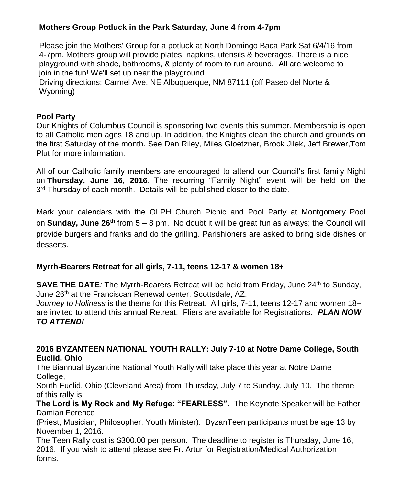### **Mothers Group Potluck in the Park Saturday, June 4 from 4-7pm**

Please join the Mothers' Group for a potluck at North Domingo Baca Park Sat 6/4/16 from 4-7pm. Mothers group will provide plates, napkins, utensils & beverages. There is a nice playground with shade, bathrooms, & plenty of room to run around. All are welcome to join in the fun! We'll set up near the playground.

Driving directions: Carmel Ave. NE Albuquerque, NM 87111 (off Paseo del Norte & Wyoming)

### **Pool Party**

Our Knights of Columbus Council is sponsoring two events this summer. Membership is open to all Catholic men ages 18 and up. In addition, the Knights clean the church and grounds on the first Saturday of the month. See Dan Riley, Miles Gloetzner, Brook Jilek, Jeff Brewer,Tom Plut for more information.

All of our Catholic family members are encouraged to attend our Council's first family Night on **Thursday, June 16, 2016**. The recurring "Family Night" event will be held on the 3<sup>rd</sup> Thursday of each month. Details will be published closer to the date.

Mark your calendars with the OLPH Church Picnic and Pool Party at Montgomery Pool on **Sunday, June 26th** from 5 – 8 pm. No doubt it will be great fun as always; the Council will provide burgers and franks and do the grilling. Parishioners are asked to bring side dishes or desserts.

### **Myrrh-Bearers Retreat for all girls, 7-11, teens 12-17 & women 18+**

**SAVE THE DATE**: The Myrrh-Bearers Retreat will be held from Friday, June 24<sup>th</sup> to Sunday, June 26th at the Franciscan Renewal center, Scottsdale, AZ.

*Journey to Holiness* is the theme for this Retreat. All girls, 7-11, teens 12-17 and women 18+ are invited to attend this annual Retreat. Fliers are available for Registrations. *PLAN NOW TO ATTEND!*

### **2016 BYZANTEEN NATIONAL YOUTH RALLY: July 7-10 at Notre Dame College, South Euclid, Ohio**

The Biannual Byzantine National Youth Rally will take place this year at Notre Dame College,

South Euclid, Ohio (Cleveland Area) from Thursday, July 7 to Sunday, July 10. The theme of this rally is

**The Lord is My Rock and My Refuge: "FEARLESS".** The Keynote Speaker will be Father Damian Ference

(Priest, Musician, Philosopher, Youth Minister). ByzanTeen participants must be age 13 by November 1, 2016.

The Teen Rally cost is \$300.00 per person. The deadline to register is Thursday, June 16, 2016. If you wish to attend please see Fr. Artur for Registration/Medical Authorization forms.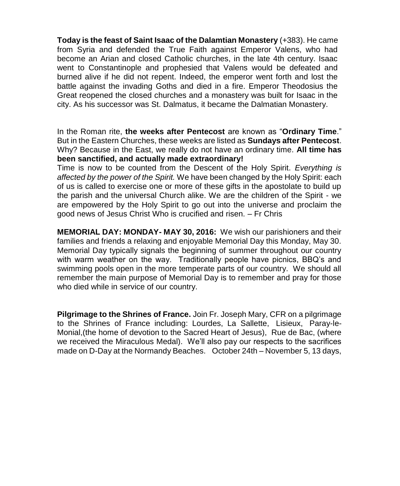**Today is the feast of Saint Isaac of the Dalamtian Monastery** (+383). He came from Syria and defended the True Faith against Emperor Valens, who had become an Arian and closed Catholic churches, in the late 4th century. Isaac went to Constantinople and prophesied that Valens would be defeated and burned alive if he did not repent. Indeed, the emperor went forth and lost the battle against the invading Goths and died in a fire. Emperor Theodosius the Great reopened the closed churches and a monastery was built for Isaac in the city. As his successor was St. Dalmatus, it became the Dalmatian Monastery.

In the Roman rite, **the weeks after Pentecost** are known as "**Ordinary Time**." But in the Eastern Churches, these weeks are listed as **Sundays after Pentecost**. Why? Because in the East, we really do not have an ordinary time. **All time has been sanctified, and actually made extraordinary!**

Time is now to be counted from the Descent of the Holy Spirit. *Everything is affected by the power of the Spirit.* We have been changed by the Holy Spirit: each of us is called to exercise one or more of these gifts in the apostolate to build up the parish and the universal Church alike. We are the children of the Spirit - we are empowered by the Holy Spirit to go out into the universe and proclaim the good news of Jesus Christ Who is crucified and risen. – Fr Chris

**MEMORIAL DAY: MONDAY- MAY 30, 2016:** We wish our parishioners and their families and friends a relaxing and enjoyable Memorial Day this Monday, May 30. Memorial Day typically signals the beginning of summer throughout our country with warm weather on the way. Traditionally people have picnics, BBQ's and swimming pools open in the more temperate parts of our country. We should all remember the main purpose of Memorial Day is to remember and pray for those who died while in service of our country.

**Pilgrimage to the Shrines of France.** Join Fr. Joseph Mary, CFR on a pilgrimage to the Shrines of France including: Lourdes, La Sallette, Lisieux, Paray-le-Monial,(the home of devotion to the Sacred Heart of Jesus), Rue de Bac, (where we received the Miraculous Medal). We'll also pay our respects to the sacrifices made on D-Day at the Normandy Beaches. October 24th – November 5, 13 days,